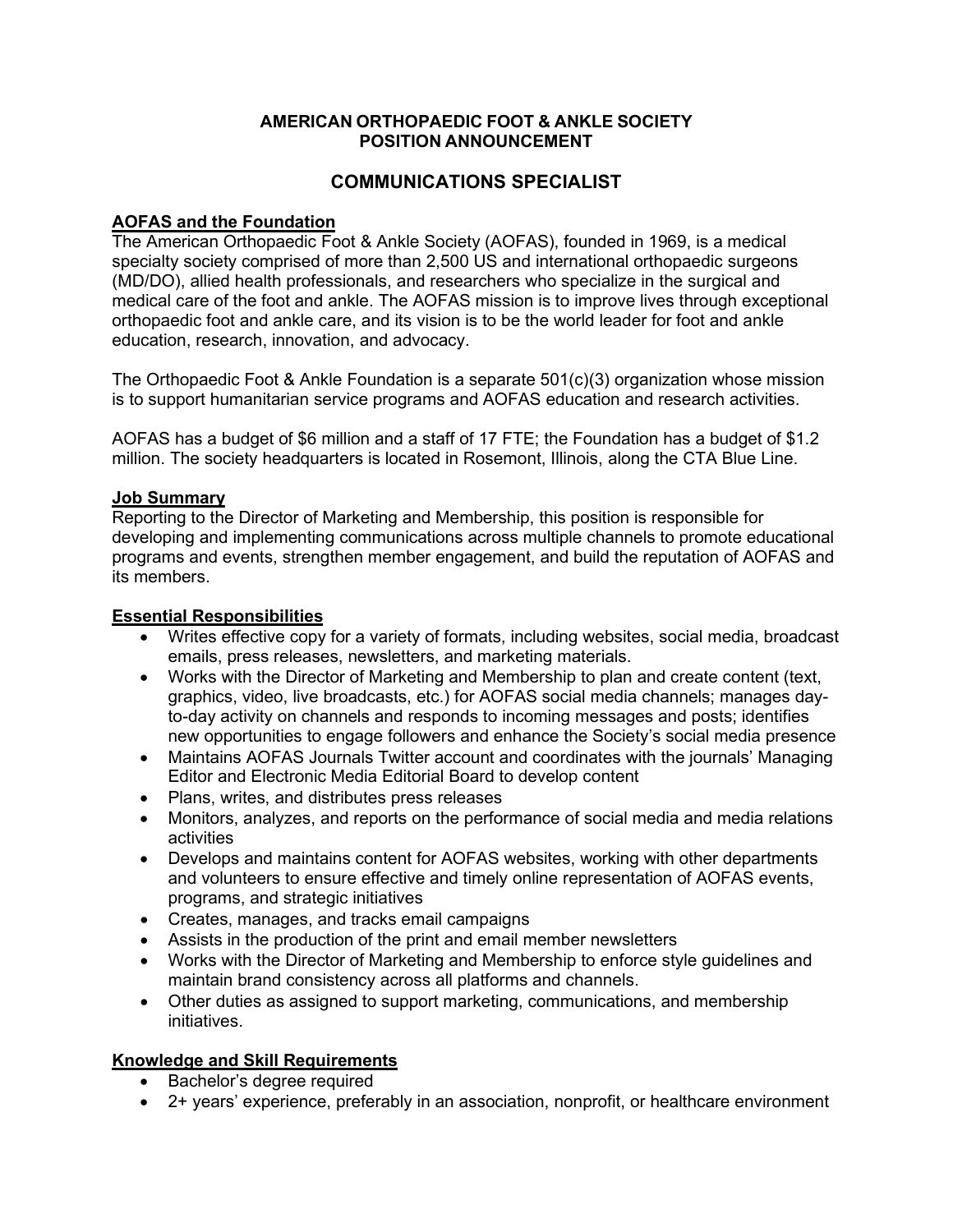# **AMERICAN ORTHOPAEDIC FOOT & ANKLE SOCIETY POSITION ANNOUNCEMENT**

# **COMMUNICATIONS SPECIALIST**

# **AOFAS and the Foundation**

The American Orthopaedic Foot & Ankle Society (AOFAS), founded in 1969, is a medical specialty society comprised of more than 2,500 US and international orthopaedic surgeons (MD/DO), allied health professionals, and researchers who specialize in the surgical and medical care of the foot and ankle. The AOFAS mission is to improve lives through exceptional orthopaedic foot and ankle care, and its vision is to be the world leader for foot and ankle education, research, innovation, and advocacy.

The Orthopaedic Foot & Ankle Foundation is a separate 501(c)(3) organization whose mission is to support humanitarian service programs and AOFAS education and research activities.

AOFAS has a budget of \$6 million and a staff of 17 FTE; the Foundation has a budget of \$1.2 million. The society headquarters is located in Rosemont, Illinois, along the CTA Blue Line.

#### **Job Summary**

Reporting to the Director of Marketing and Membership, this position is responsible for developing and implementing communications across multiple channels to promote educational programs and events, strengthen member engagement, and build the reputation of AOFAS and its members.

#### **Essential Responsibilities**

- Writes effective copy for a variety of formats, including websites, social media, broadcast emails, press releases, newsletters, and marketing materials.
- Works with the Director of Marketing and Membership to plan and create content (text, graphics, video, live broadcasts, etc.) for AOFAS social media channels; manages dayto-day activity on channels and responds to incoming messages and posts; identifies new opportunities to engage followers and enhance the Society's social media presence
- Maintains AOFAS Journals Twitter account and coordinates with the journals' Managing Editor and Electronic Media Editorial Board to develop content
- Plans, writes, and distributes press releases
- Monitors, analyzes, and reports on the performance of social media and media relations activities
- Develops and maintains content for AOFAS websites, working with other departments and volunteers to ensure effective and timely online representation of AOFAS events, programs, and strategic initiatives
- Creates, manages, and tracks email campaigns
- Assists in the production of the print and email member newsletters
- Works with the Director of Marketing and Membership to enforce style guidelines and maintain brand consistency across all platforms and channels.
- Other duties as assigned to support marketing, communications, and membership initiatives.

# **Knowledge and Skill Requirements**

- Bachelor's degree required
- 2+ years' experience, preferably in an association, nonprofit, or healthcare environment